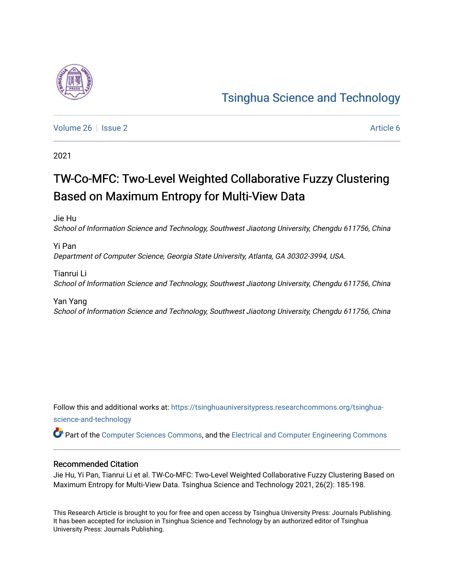

[Volume 26](https://tsinghuauniversitypress.researchcommons.org/tsinghua-science-and-technology/vol26) | [Issue 2](https://tsinghuauniversitypress.researchcommons.org/tsinghua-science-and-technology/vol26/iss2) Article 6

2021

# TW-Co-MFC: Two-Level Weighted Collaborative Fuzzy Clustering Based on Maximum Entropy for Multi-View Data

Jie Hu School of Information Science and Technology, Southwest Jiaotong University, Chengdu 611756, China

Yi Pan Department of Computer Science, Georgia State University, Atlanta, GA 30302-3994, USA.

Tianrui Li School of Information Science and Technology, Southwest Jiaotong University, Chengdu 611756, China

Yan Yang School of Information Science and Technology, Southwest Jiaotong University, Chengdu 611756, China

Follow this and additional works at: [https://tsinghuauniversitypress.researchcommons.org/tsinghua](https://tsinghuauniversitypress.researchcommons.org/tsinghua-science-and-technology?utm_source=tsinghuauniversitypress.researchcommons.org%2Ftsinghua-science-and-technology%2Fvol26%2Fiss2%2F6&utm_medium=PDF&utm_campaign=PDFCoverPages)[science-and-technology](https://tsinghuauniversitypress.researchcommons.org/tsinghua-science-and-technology?utm_source=tsinghuauniversitypress.researchcommons.org%2Ftsinghua-science-and-technology%2Fvol26%2Fiss2%2F6&utm_medium=PDF&utm_campaign=PDFCoverPages)

Part of the [Computer Sciences Commons](http://network.bepress.com/hgg/discipline/142?utm_source=tsinghuauniversitypress.researchcommons.org%2Ftsinghua-science-and-technology%2Fvol26%2Fiss2%2F6&utm_medium=PDF&utm_campaign=PDFCoverPages), and the [Electrical and Computer Engineering Commons](http://network.bepress.com/hgg/discipline/266?utm_source=tsinghuauniversitypress.researchcommons.org%2Ftsinghua-science-and-technology%2Fvol26%2Fiss2%2F6&utm_medium=PDF&utm_campaign=PDFCoverPages)

### Recommended Citation

Jie Hu, Yi Pan, Tianrui Li et al. TW-Co-MFC: Two-Level Weighted Collaborative Fuzzy Clustering Based on Maximum Entropy for Multi-View Data. Tsinghua Science and Technology 2021, 26(2): 185-198.

This Research Article is brought to you for free and open access by Tsinghua University Press: Journals Publishing. It has been accepted for inclusion in Tsinghua Science and Technology by an authorized editor of Tsinghua University Press: Journals Publishing.

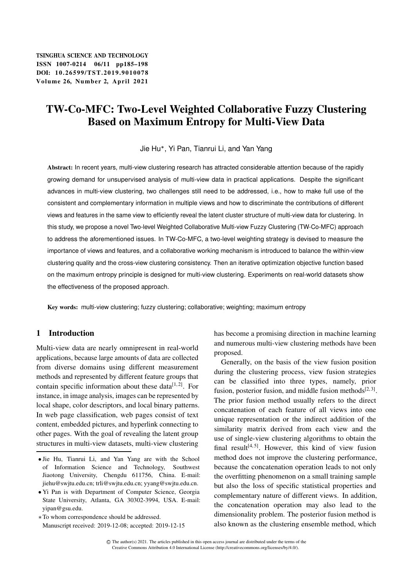## TW-Co-MFC: Two-Level Weighted Collaborative Fuzzy Clustering Based on Maximum Entropy for Multi-View Data

Jie Hu , Yi Pan, Tianrui Li, and Yan Yang

Abstract: In recent years, multi-view clustering research has attracted considerable attention because of the rapidly growing demand for unsupervised analysis of multi-view data in practical applications. Despite the significant advances in multi-view clustering, two challenges still need to be addressed, i.e., how to make full use of the consistent and complementary information in multiple views and how to discriminate the contributions of different views and features in the same view to efficiently reveal the latent cluster structure of multi-view data for clustering. In this study, we propose a novel Two-level Weighted Collaborative Multi-view Fuzzy Clustering (TW-Co-MFC) approach to address the aforementioned issues. In TW-Co-MFC, a two-level weighting strategy is devised to measure the importance of views and features, and a collaborative working mechanism is introduced to balance the within-view clustering quality and the cross-view clustering consistency. Then an iterative optimization objective function based on the maximum entropy principle is designed for multi-view clustering. Experiments on real-world datasets show the effectiveness of the proposed approach.

Key words: multi-view clustering; fuzzy clustering; collaborative; weighting; maximum entropy

## 1 Introduction

Multi-view data are nearly omnipresent in real-world applications, because large amounts of data are collected from diverse domains using different measurement methods and represented by different feature groups that contain specific information about these data $[1, 2]$ . For instance, in image analysis, images can be represented by local shape, color descriptors, and local binary patterns. In web page classification, web pages consist of text content, embedded pictures, and hyperlink connecting to other pages. With the goal of revealing the latent group structures in multi-view datasets, multi-view clustering

 Yi Pan is with Department of Computer Science, Georgia State University, Atlanta, GA 30302-3994, USA. E-mail: yipan@gsu.edu.

To whom correspondence should be addressed. Manuscript received: 2019-12-08; accepted: 2019-12-15 has become a promising direction in machine learning and numerous multi-view clustering methods have been proposed.

Generally, on the basis of the view fusion position during the clustering process, view fusion strategies can be classified into three types, namely, prior fusion, posterior fusion, and middle fusion methods $[2,3]$ . The prior fusion method usually refers to the direct concatenation of each feature of all views into one unique representation or the indirect addition of the similarity matrix derived from each view and the use of single-view clustering algorithms to obtain the final result<sup>[4,5]</sup>. However, this kind of view fusion method does not improve the clustering performance, because the concatenation operation leads to not only the overfitting phenomenon on a small training sample but also the loss of specific statistical properties and complementary nature of different views. In addition, the concatenation operation may also lead to the dimensionality problem. The posterior fusion method is also known as the clustering ensemble method, which

Jie Hu, Tianrui Li, and Yan Yang are with the School of Information Science and Technology, Southwest Jiaotong University, Chengdu 611756, China. E-mail: jiehu@swjtu.edu.cn; trli@swjtu.edu.cn; yyang@swjtu.edu.cn.

C The author(s) 2021. The articles published in this open access journal are distributed under the terms of the Creative Commons Attribution 4.0 International License (http://creativecommons.org/licenses/by/4.0/).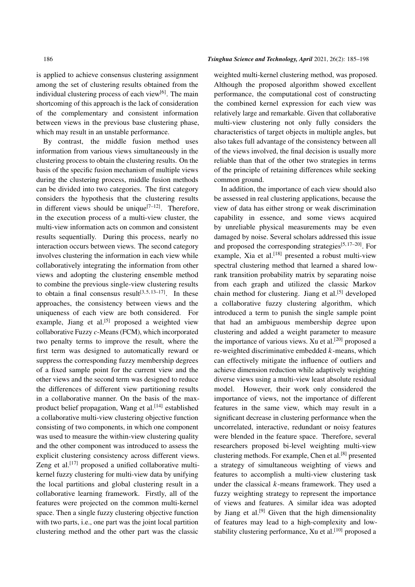is applied to achieve consensus clustering assignment among the set of clustering results obtained from the individual clustering process of each view<sup>[6]</sup>. The main shortcoming of this approach is the lack of consideration of the complementary and consistent information between views in the previous base clustering phase, which may result in an unstable performance.

By contrast, the middle fusion method uses information from various views simultaneously in the clustering process to obtain the clustering results. On the basis of the specific fusion mechanism of multiple views during the clustering process, middle fusion methods can be divided into two categories. The first category considers the hypothesis that the clustering results in different views should be unique<sup>[7-12]</sup>. Therefore, in the execution process of a multi-view cluster, the multi-view information acts on common and consistent results sequentially. During this process, nearly no interaction occurs between views. The second category involves clustering the information in each view while collaboratively integrating the information from other views and adopting the clustering ensemble method to combine the previous single-view clustering results to obtain a final consensus result<sup>[3,5,13-17]</sup>. In these approaches, the consistency between views and the uniqueness of each view are both considered. For example, Jiang et al. $[5]$  proposed a weighted view collaborative Fuzzy *c*-Means (FCM), which incorporated two penalty terms to improve the result, where the first term was designed to automatically reward or suppress the corresponding fuzzy membership degrees of a fixed sample point for the current view and the other views and the second term was designed to reduce the differences of different view partitioning results in a collaborative manner. On the basis of the maxproduct belief propagation, Wang et al.<sup>[14]</sup> established a collaborative multi-view clustering objective function consisting of two components, in which one component was used to measure the within-view clustering quality and the other component was introduced to assess the explicit clustering consistency across different views. Zeng et al.<sup>[17]</sup> proposed a unified collaborative multikernel fuzzy clustering for multi-view data by unifying the local partitions and global clustering result in a collaborative learning framework. Firstly, all of the features were projected on the common multi-kernel space. Then a single fuzzy clustering objective function with two parts, i.e., one part was the joint local partition clustering method and the other part was the classic

#### 186 *Tsinghua Science and Technology, April* 2021, 26(2): 185–198

weighted multi-kernel clustering method, was proposed. Although the proposed algorithm showed excellent performance, the computational cost of constructing the combined kernel expression for each view was relatively large and remarkable. Given that collaborative multi-view clustering not only fully considers the characteristics of target objects in multiple angles, but also takes full advantage of the consistency between all of the views involved, the final decision is usually more reliable than that of the other two strategies in terms of the principle of retaining differences while seeking common ground.

In addition, the importance of each view should also be assessed in real clustering applications, because the view of data has either strong or weak discrimination capability in essence, and some views acquired by unreliable physical measurements may be even damaged by noise. Several scholars addressed this issue and proposed the corresponding strategies $[5, 17-20]$ . For example, Xia et al.<sup>[18]</sup> presented a robust multi-view spectral clustering method that learned a shared lowrank transition probability matrix by separating noise from each graph and utilized the classic Markov chain method for clustering. Jiang et al.<sup>[5]</sup> developed a collaborative fuzzy clustering algorithm, which introduced a term to punish the single sample point that had an ambiguous membership degree upon clustering and added a weight parameter to measure the importance of various views. Xu et al.<sup>[20]</sup> proposed a re-weighted discriminative embedded  $k$ -means, which can effectively mitigate the influence of outliers and achieve dimension reduction while adaptively weighting diverse views using a multi-view least absolute residual model. However, their work only considered the importance of views, not the importance of different features in the same view, which may result in a significant decrease in clustering performance when the uncorrelated, interactive, redundant or noisy features were blended in the feature space. Therefore, several researchers proposed bi-level weighting multi-view clustering methods. For example, Chen et al.[8] presented a strategy of simultaneous weighting of views and features to accomplish a multi-view clustering task under the classical  $k$ -means framework. They used a fuzzy weighting strategy to represent the importance of views and features. A similar idea was adopted by Jiang et al.<sup>[9]</sup> Given that the high dimensionality of features may lead to a high-complexity and lowstability clustering performance, Xu et al.<sup>[10]</sup> proposed a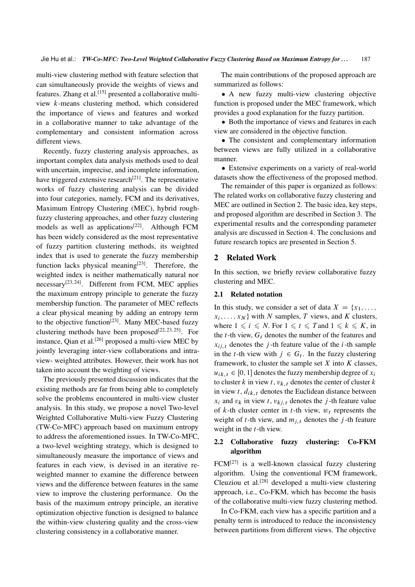multi-view clustering method with feature selection that can simultaneously provide the weights of views and features. Zhang et al.[15] presented a collaborative multiview k-means clustering method, which considered the importance of views and features and worked in a collaborative manner to take advantage of the complementary and consistent information across different views.

Recently, fuzzy clustering analysis approaches, as important complex data analysis methods used to deal with uncertain, imprecise, and incomplete information, have triggered extensive research<sup>[21]</sup>. The representative works of fuzzy clustering analysis can be divided into four categories, namely, FCM and its derivatives, Maximum Entropy Clustering (MEC), hybrid roughfuzzy clustering approaches, and other fuzzy clustering models as well as applications<sup>[22]</sup>. Although FCM has been widely considered as the most representative of fuzzy partition clustering methods, its weighted index that is used to generate the fuzzy membership function lacks physical meaning $[23]$ . Therefore, the weighted index is neither mathematically natural nor  $n$ ecessary<sup>[23, 24]</sup>. Different from FCM, MEC applies the maximum entropy principle to generate the fuzzy membership function. The parameter of MEC reflects a clear physical meaning by adding an entropy term to the objective function<sup>[23]</sup>. Many MEC-based fuzzy clustering methods have been proposed<sup>[22, 23, 25]</sup>. For instance, Qian et al.<sup>[26]</sup> proposed a multi-view MEC by jointly leveraging inter-view collaborations and intraview- weighted attributes. However, their work has not taken into account the weighting of views.

The previously presented discussion indicates that the existing methods are far from being able to completely solve the problems encountered in multi-view cluster analysis. In this study, we propose a novel Two-level Weighted Collaborative Multi-view Fuzzy Clustering (TW-Co-MFC) approach based on maximum entropy to address the aforementioned issues. In TW-Co-MFC, a two-level weighting strategy, which is designed to simultaneously measure the importance of views and features in each view, is devised in an iterative reweighted manner to examine the difference between views and the difference between features in the same view to improve the clustering performance. On the basis of the maximum entropy principle, an iterative optimization objective function is designed to balance the within-view clustering quality and the cross-view clustering consistency in a collaborative manner.

The main contributions of the proposed approach are summarized as follows:

• A new fuzzy multi-view clustering objective function is proposed under the MEC framework, which provides a good explanation for the fuzzy partition.

• Both the importance of views and features in each view are considered in the objective function.

 The consistent and complementary information between views are fully utilized in a collaborative manner.

 Extensive experiments on a variety of real-world datasets show the effectiveness of the proposed method.

The remainder of this paper is organized as follows: The related works on collaborative fuzzy clustering and MEC are outlined in Section 2. The basic idea, key steps, and proposed algorithm are described in Section 3. The experimental results and the corresponding parameter analysis are discussed in Section 4. The conclusions and future research topics are presented in Section 5.

#### 2 Related Work

In this section, we briefly review collaborative fuzzy clustering and MEC.

#### 2.1 Related notation

In this study, we consider a set of data  $X = \{x_1, \ldots, x_n\}$  $x_i, \ldots, x_N$  with N samples, T views, and K clusters, where  $1 \le i \le N$ . For  $1 \le t \le T$  and  $1 \le k \le K$ , in the  $t$ -th view,  $G_t$  denotes the number of the features and  $x_{i,j,t}$  denotes the j-th feature value of the *i*-th sample in the t-th view with  $j \in G_t$ . In the fuzzy clustering framework, to cluster the sample set  $X$  into  $K$  classes,  $u_{ik,t} \in [0, 1]$  denotes the fuzzy membership degree of  $x_i$ to cluster k in view t,  $v_{k,t}$  denotes the center of cluster k in view t,  $d_{ik,t}$  denotes the Euclidean distance between  $x_i$  and  $v_k$  in view t,  $v_{ki,t}$  denotes the j-th feature value of k-th cluster center in t-th view,  $w_t$  represents the weight of t-th view, and  $m_{i,t}$  denotes the j-th feature weight in the  $t$ -th view.

## 2.2 Collaborative fuzzy clustering: Co-FKM algorithm

 $FCM^{[27]}$  is a well-known classical fuzzy clustering algorithm. Using the conventional FCM framework, Cleuziou et al.<sup>[28]</sup> developed a multi-view clustering approach, i.e., Co-FKM, which has become the basis of the collaborative multi-view fuzzy clustering method.

In Co-FKM, each view has a specific partition and a penalty term is introduced to reduce the inconsistency between partitions from different views. The objective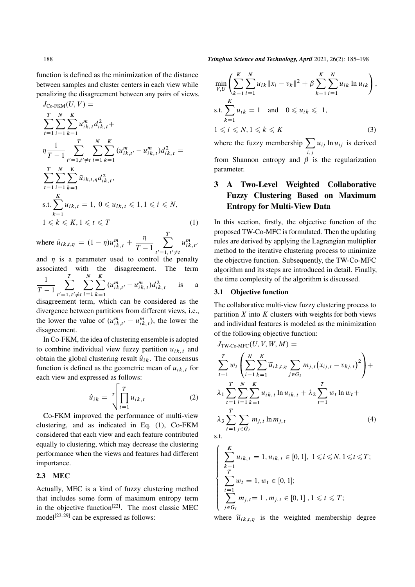function is defined as the minimization of the distance between samples and cluster centers in each view while penalizing the disagreement between any pairs of views.

$$
J_{\text{Co-FKM}}(U, V) =
$$
\n
$$
\sum_{t=1}^{T} \sum_{i=1}^{N} \sum_{k=1}^{K} u_{ik,t}^{m} d_{ik,t}^{2} +
$$
\n
$$
\eta \frac{1}{T-1} \sum_{t'=1, t' \neq t}^{T} \sum_{i=1}^{N} \sum_{k=1}^{K} (u_{ik,t'}^{m} - u_{ik,t}^{m}) d_{ik,t}^{2} =
$$
\n
$$
\sum_{t=1}^{T} \sum_{i=1}^{N} \sum_{k=1}^{K} \bar{u}_{ik,t,\eta} d_{ik,t}^{2},
$$
\n
$$
\text{s.t.} \sum_{k=1}^{K} u_{ik,t} = 1, 0 \leq u_{ik,t} \leq 1, 1 \leq i \leq N,
$$
\n
$$
1 \leq k \leq K, 1 \leq t \leq T
$$
\n
$$
(1)
$$

where  $\bar{u}_{ik,t,\eta} = (1 - \eta)u_{ik,t}^m + \frac{\eta}{T - \eta}$  $\frac{\eta}{T-1}$ T  $t'=1, t'\neq t$  $u_{ik, t}^m$ 

and  $\eta$  is a parameter used to control the penalty associated with the disagreement. The term 1  $\frac{1}{T-1}$ T  $t'=1, t'\neq t$  $\sum$ N  $i=1$  $\sum$ K  $k=1$  $(u_{ik,t'}^m - u_{ik,t}^m) d_{ik,t}^2$  is a

disagreement term, which can be considered as the divergence between partitions from different views, i.e., the lower the value of  $(u_{ik,t'}^m - u_{ik,t}^m)$ , the lower the disagreement.

In Co-FKM, the idea of clustering ensemble is adopted to combine individual view fuzzy partition  $u_{ik,t}$  and obtain the global clustering result  $\hat{u}_{ik}$ . The consensus function is defined as the geometric mean of  $u_{ik,t}$  for each view and expressed as follows:

$$
\hat{u}_{ik} = \sqrt[T]{\prod_{t=1}^{T} u_{ik,t}}
$$
 (2)

Co-FKM improved the performance of multi-view clustering, and as indicated in Eq. (1), Co-FKM considered that each view and each feature contributed equally to clustering, which may decrease the clustering performance when the views and features had different importance.

## 2.3 MEC

Actually, MEC is a kind of fuzzy clustering method that includes some form of maximum entropy term in the objective function<sup>[22]</sup>. The most classic MEC model<sup>[23, 29]</sup> can be expressed as follows:

188 *Tsinghua Science and Technology, April* 2021, 26(2): 185–198

$$
\min_{V,U} \left( \sum_{k=1}^{K} \sum_{i=1}^{N} u_{ik} \|x_i - v_k\|^2 + \beta \sum_{k=1}^{K} \sum_{i=1}^{N} u_{ik} \ln u_{ik} \right),
$$
  
s.t. 
$$
\sum_{k=1}^{K} u_{ik} = 1 \text{ and } 0 \le u_{ik} \le 1,
$$
  

$$
1 \le i \le N, 1 \le k \le K
$$
 (3)

where the fuzzy membership  $\sum$  $i,j$  $u_{ij}$  ln  $u_{ij}$  is derived from Shannon entropy and  $\beta$  is the regularization parameter.

## 3 A Two-Level Weighted Collaborative Fuzzy Clustering Based on Maximum Entropy for Multi-View Data

In this section, firstly, the objective function of the proposed TW-Co-MFC is formulated. Then the updating rules are derived by applying the Lagrangian multiplier method to the iterative clustering process to minimize the objective function. Subsequently, the TW-Co-MFC algorithm and its steps are introduced in detail. Finally, the time complexity of the algorithm is discussed.

#### 3.1 Objective function

The collaborative multi-view fuzzy clustering process to partition  $X$  into  $K$  clusters with weights for both views and individual features is modeled as the minimization of the following objective function:

$$
J_{TW-Co-MFC}(U, V, W, M) =
$$
\n
$$
\sum_{t=1}^{T} w_t \left( \sum_{i=1}^{N} \sum_{k=1}^{K} \widetilde{u}_{ik,t,\eta} \sum_{j \in G_t} m_{j,t} (x_{ij,t} - v_{kj,t})^2 \right) +
$$
\n
$$
\lambda_1 \sum_{t=1}^{T} \sum_{i=1}^{N} \sum_{k=1}^{K} u_{ik,t} \ln u_{ik,t} + \lambda_2 \sum_{t=1}^{T} w_t \ln w_t +
$$
\n
$$
\lambda_3 \sum_{t=1}^{T} \sum_{j \in G_t} m_{j,t} \ln m_{j,t} \qquad (4)
$$

s.t.

$$
\begin{cases}\n\sum_{k=1}^{K} u_{ik,t} = 1, u_{ik,t} \in [0, 1], \ 1 \le i \le N, 1 \le t \le T; \\
\sum_{t=1}^{T} w_t = 1, w_t \in [0, 1]; \\
\sum_{j \in G_t} m_{j,t} = 1, m_{j,t} \in [0, 1], 1 \le t \le T;\n\end{cases}
$$

where  $\widetilde{u}_{ik,t,\eta}$  is the weighted membership degree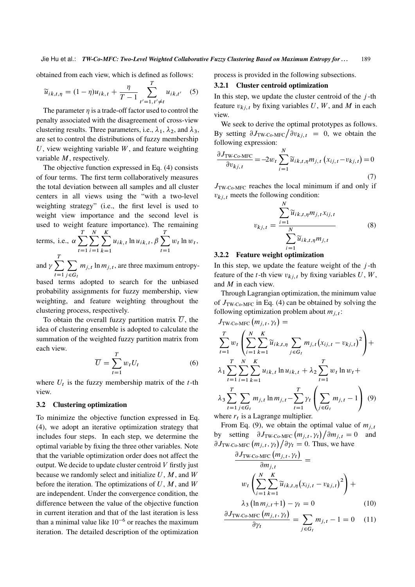obtained from each view, which is defined as follows:

$$
\widetilde{u}_{ik,t,\eta} = (1 - \eta)u_{ik,t} + \frac{\eta}{T - 1} \sum_{t'=1, t' \neq t}^{T} u_{ik,t'} \quad (5)
$$

The parameter  $\eta$  is a trade-off factor used to control the penalty associated with the disagreement of cross-view clustering results. Three parameters, i.e.,  $\lambda_1$ ,  $\lambda_2$ , and  $\lambda_3$ , are set to control the distributions of fuzzy membership  $U$ , view weighting variable  $W$ , and feature weighting variable  $M$ , respectively.

The objective function expressed in Eq. (4) consists of four terms. The first term collaboratively measures the total deviation between all samples and all cluster centers in all views using the "with a two-level weighting strategy" (i.e., the first level is used to weight view importance and the second level is used to weight feature importance). The remaining T N K T

terms, i.e., 
$$
\alpha \sum_{t=1}^{n} \sum_{i=1}^{n} \sum_{k=1}^{n} u_{ik,t} \ln u_{ik,t}
$$
,  $\beta \sum_{t=1}^{n} w_t \ln w_t$ ,

and  $\gamma \sum$  $t=1$  $\sum$  $j \in G_t$  $m_{j,t}$  ln  $m_{j,t}$ , are three maximum entropy-

based terms adopted to search for the unbiased probability assignments for fuzzy membership, view weighting, and feature weighting throughout the clustering process, respectively.

To obtain the overall fuzzy partition matrix  $\overline{U}$ , the idea of clustering ensemble is adopted to calculate the summation of the weighted fuzzy partition matrix from each view.

$$
\overline{U} = \sum_{t=1}^{T} w_t U_t \tag{6}
$$

where  $U_t$  is the fuzzy membership matrix of the  $t$ -th view.

#### 3.2 Clustering optimization

To minimize the objective function expressed in Eq. (4), we adopt an iterative optimization strategy that includes four steps. In each step, we determine the optimal variable by fixing the three other variables. Note that the variable optimization order does not affect the output. We decide to update cluster centroid  $V$  firstly just because we randomly select and initialize  $U, M$ , and  $W$ before the iteration. The optimizations of  $U, M$ , and  $W$ are independent. Under the convergence condition, the difference between the value of the objective function in current iteration and that of the last iteration is less than a minimal value like  $10^{-6}$  or reaches the maximum iteration. The detailed description of the optimization process is provided in the following subsections.

#### 3.2.1 Cluster centroid optimization

In this step, we update the cluster centroid of the  $j$ -th feature  $v_{ki,t}$  by fixing variables U, W, and M in each view.

We seek to derive the optimal prototypes as follows. By setting  $\partial J_{\text{TW-Co-MFC}}/\partial v_{kj,t} = 0$ , we obtain the following expression:

$$
\frac{\partial J_{\text{TW-Co-MFC}}}{\partial v_{kj,t}} = -2w_t \sum_{i=1}^{N} \widetilde{u}_{ik,t,\eta} m_{j,t} (x_{ij,t} - v_{kj,t}) = 0
$$
\n(7)

 $J_{\text{TW-Co-MFC}}$  reaches the local minimum if and only if  $v_{ki,t}$  meets the following condition:

$$
v_{kj,t} = \frac{\sum_{i=1}^{N} \widetilde{u}_{ik,t,\eta} m_{j,t} x_{ij,t}}{\sum_{i=1}^{N} \widetilde{u}_{ik,t,\eta} m_{j,t}}
$$
(8)

#### 3.2.2 Feature weight optimization

In this step, we update the feature weight of the  $j$ -th feature of the t-th view  $v_{ki,t}$  by fixing variables U, W, and M in each view.

Through Lagrangian optimization, the minimum value of  $J_{TW-C_0-MFC}$  in Eq. (4) can be obtained by solving the following optimization problem about  $m_{j, t}$ :

$$
J_{\text{TW-Co-MFC}}(m_{j,t}, \gamma_t) =
$$
\n
$$
\sum_{t=1}^{T} w_t \left( \sum_{i=1}^{N} \sum_{k=1}^{K} \widetilde{u}_{ik,t,\eta} \sum_{j \in G_t} m_{j,t} (x_{ij,t} - v_{kj,t})^2 \right) +
$$
\n
$$
\lambda_1 \sum_{t=1}^{T} \sum_{i=1}^{N} \sum_{k=1}^{K} u_{ik,t} \ln u_{ik,t} + \lambda_2 \sum_{t=1}^{T} w_t \ln w_t +
$$
\n
$$
\lambda_3 \sum_{t=1}^{T} \sum_{j \in G_t} m_{j,t} \ln m_{j,t} - \sum_{t=1}^{T} \gamma_t \left( \sum_{j \in G_t} m_{j,t} - 1 \right) (9)
$$
\nwhere  $r_t$  is a Lagrange multiplier.

From Eq. (9), we obtain the optimal value of  $m_{i,t}$ by setting  $\partial J_{\text{TW-Co-MFC}}(m_{j,t}, \gamma_t)/\partial m_{j,t} = 0$  and  $\partial J_{\text{TW-Co-MFC}}\left(m_{j,t}, \gamma_t\right) / \partial \gamma_t = 0$ . Thus, we have

$$
\frac{\partial J_{\text{TW-Co-MFC}}\left(m_{j,t}, \gamma_t\right)}{\partial m_{j,t}} =
$$
\n
$$
w_t \left( \sum_{i=1}^N \sum_{k=1}^K \widetilde{u}_{ik,t,\eta} \left(x_{ij,t} - v_{kj,t}\right)^2 \right) +
$$
\n
$$
\lambda_3 \left( \ln m_{j,t} + 1 \right) - \gamma_t = 0 \tag{10}
$$

$$
\frac{\partial J_{\text{TW-Co-MFC}}\left(m_{j,t}, \gamma_t\right)}{\partial \gamma_t} = \sum_{j \in G_t} m_{j,t} - 1 = 0 \quad (11)
$$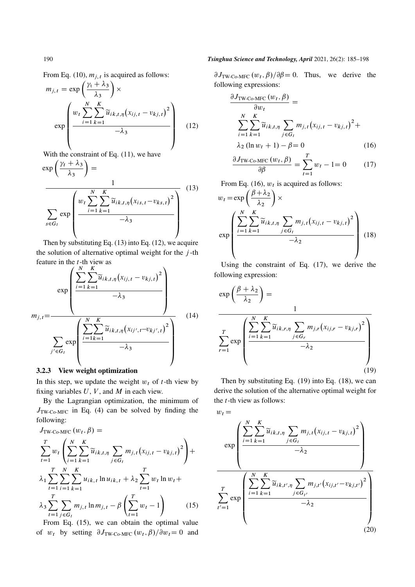From Eq. (10),  $m_{j,t}$  is acquired as follows:

$$
m_{j,t} = \exp\left(\frac{\gamma_t + \lambda_3}{\lambda_3}\right) \times \exp\left(\frac{w_t \sum_{i=1}^N \widetilde{u}_{ik,t,\eta} (x_{ij,t} - v_{kj,t})^2}{-\lambda_3}\right)
$$
 (12)

With the constraint of Eq.  $(11)$ , we have

$$
\exp\left(\frac{\gamma_t + \lambda_3}{\lambda_3}\right) = \frac{1}{\sum_{s \in G_t} \exp\left(\frac{w_t \sum_{i=1}^N \widetilde{u}_{ik,t,\eta} (x_{is,t} - v_{ks,t})^2}{-\lambda_3}\right)}
$$
(13)

Then by substituting Eq. (13) into Eq. (12), we acquire the solution of alternative optimal weight for the  $j$ -th feature in the  $t$ -th view as

$$
m_{j,t} = \frac{\exp\left(\frac{\sum_{i=1}^{N} \sum_{k=1}^{K} \widetilde{u}_{ik,t,\eta} (x_{ij,t} - v_{kj,t})^2}{-\lambda_3}\right)}{\sum_{j' \in G_t} \exp\left(\frac{\sum_{i=1}^{N} \sum_{k=1}^{K} \widetilde{u}_{ik,t,\eta} (x_{ij',t} - v_{kj',t})^2}{-\lambda_3}\right)}
$$
(14)

## 3.2.3 View weight optimization

In this step, we update the weight  $w_t$  of t-th view by fixing variables  $U, V$ , and  $M$  in each view.

By the Lagrangian optimization, the minimum of  $J_{\text{TW} \text{-} \text{Co-MFC}}$  in Eq. (4) can be solved by finding the following:

$$
J_{\text{TW-Co-MFC}}(w_t, \beta) =
$$
\n
$$
\sum_{t=1}^{T} w_t \left( \sum_{i=1}^{N} \sum_{k=1}^{K} \widetilde{u}_{ik,t,\eta} \sum_{j \in G_t} m_{j,t} (x_{ij,t} - v_{kj,t})^2 \right) +
$$
\n
$$
\lambda_1 \sum_{t=1}^{T} \sum_{i=1}^{N} \sum_{k=1}^{K} u_{ik,t} \ln u_{ik,t} + \lambda_2 \sum_{t=1}^{T} w_t \ln w_t +
$$
\n
$$
\lambda_3 \sum_{t=1}^{T} \sum_{j \in G_t} m_{j,t} \ln m_{j,t} - \beta \left( \sum_{t=1}^{T} w_t - 1 \right) \qquad (15)
$$
\nFrom Eq. (15), we can obtain the optimal value

From Eq. (15), we can obtain the optimal value of  $w_t$  by setting  $\partial J_{\text{TW-Co-MFC}}(w_t, \beta)/\partial w_t = 0$  and

 $\partial J_{\text{TW-Co-MFC}}(w_t, \beta)/\partial \beta = 0$ . Thus, we derive the following expressions:

$$
\frac{\partial J_{\text{TW-Co-MFC}}(w_t, \beta)}{\partial w_t} = \frac{\sum_{i=1}^{N} \sum_{k=1}^{K} \widetilde{u}_{ik,t,\eta} \sum_{j \in G_t} m_{j,t} (x_{ij,t} - v_{kj,t})^2 + \lambda_2 (\ln w_t + 1) - \beta = 0} (16)
$$

$$
\frac{\partial J_{\text{TW-Co-MFC}}(w_t, \beta)}{\partial \beta} = \sum_{t=1}^{T} w_t - 1 = 0 \tag{17}
$$

From Eq. (16),  $w_t$  is acquired as follows:

$$
w_{t} = \exp\left(\frac{\beta + \lambda_{2}}{\lambda_{2}}\right) \times \exp\left(\frac{\sum_{i=1}^{N} \sum_{k=1}^{K} \widetilde{u}_{ik,t,\eta} \sum_{j \in G_{t}} m_{j,t} (x_{ij,t} - v_{kj,t})^{2}}{-\lambda_{2}}\right)
$$
(18)

Using the constraint of Eq. (17), we derive the following expression:

$$
\exp\left(\frac{\beta + \lambda_2}{\lambda_2}\right) = \frac{1}{\sum_{r=1}^T \exp\left(\frac{\sum_{i=1}^N \sum_{k=1}^K \widetilde{u}_{ik,r,\eta} \sum_{j \in G_r} m_{j,r} (x_{ij,r} - v_{kj,r})^2}{-\lambda_2}\right)}
$$
\n(19)

Then by substituting Eq.  $(19)$  into Eq.  $(18)$ , we can derive the solution of the alternative optimal weight for the  $t$ -th view as follows:

 $w_t =$ 

$$
\exp\left(\frac{\sum_{i=1}^{N} \sum_{k=1}^{K} \widetilde{u}_{ik,t,\eta} \sum_{j \in G_t} m_{j,t} (x_{ij,t} - v_{kj,t})^2}{-\lambda_2}\right)
$$
\n
$$
\sum_{t'=1}^{T} \exp\left(\frac{\sum_{i=1}^{N} \sum_{k=1}^{K} \widetilde{u}_{ik,t',\eta} \sum_{j \in G_{t'}} m_{j,t'} (x_{ij,t'} - v_{kj,t'})^2}{-\lambda_2}\right)
$$
\n(20)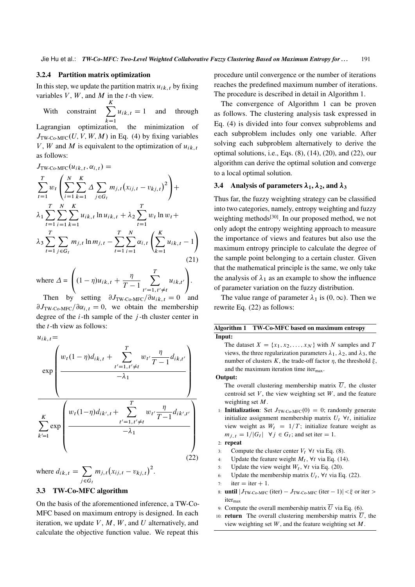### 3.2.4 Partition matrix optimization

In this step, we update the partition matrix  $u_{ik, t}$  by fixing variables  $V$ ,  $W$ , and  $M$  in the t-th view.

With constraint  $\sum$ K  $k=1$  $u_{ik, t} = 1$  and through Lagrangian optimization, the minimization of  $J_{TW\text{-}Co\text{-}MFC}(U, V, W, M)$  in Eq. (4) by fixing variables V, W and M is equivalent to the optimization of  $u_{ik,t}$ as follows:

 $J_{\text{TW-Co-MFC}}(u_{ik,t}, \alpha_{i,t}) =$ 

$$
\sum_{t=1}^{T} w_t \left( \sum_{i=1}^{N} \sum_{k=1}^{K} \Delta \sum_{j \in G_t} m_{j,t} (x_{ij,t} - v_{kj,t})^2 \right) +
$$
\n
$$
\lambda_1 \sum_{t=1}^{T} \sum_{i=1}^{N} \sum_{k=1}^{K} u_{ik,t} \ln u_{ik,t} + \lambda_2 \sum_{t=1}^{T} w_t \ln w_t +
$$
\n
$$
\lambda_3 \sum_{t=1}^{T} \sum_{j \in G_t} m_{j,t} \ln m_{j,t} - \sum_{t=1}^{T} \sum_{i=1}^{N} \alpha_{i,t} \left( \sum_{k=1}^{K} u_{ik,t} - 1 \right)
$$
\n(21)

where  $\Delta$  =  $\sqrt{ }$  $\left(1 - \eta)u_{ik, t} + \frac{\eta}{T - \eta}\right)$  $\frac{\eta}{T-1}$ T  $t'=1, t'\neq t$  $u_{ik,t}$  $\lambda$  $\cdot$ Then by setting  $\partial J_{\text{TW-Co-MFC}}/\partial u_{ik, t} = 0$  and

 $\partial J_{TW-Co-MFC}/\partial \alpha_{i,t} = 0$ , we obtain the membership degree of the  $i$ -th sample of the  $j$ -th cluster center in the t-th view as follows:

$$
u_{ik,t} = \exp\left(\frac{w_t(1-\eta)d_{ik,t} + \sum_{t'=1,t'\neq t}^T w_{t'} \frac{\eta}{T-1} d_{ik,t'}}{-\lambda_1}\right)
$$

$$
\frac{\sum_{k'=1}^K \exp\left(\frac{w_t(1-\eta)d_{ik',t} + \sum_{t'=1,t'\neq t}^T w_{t'} \frac{\eta}{T-1} d_{ik',t'}}{-\lambda_1}\right)}{-\lambda_1}
$$
(22)

where  $d_{ik,t} = \sum$  $j \in G_t$  $m_{j,t}(x_{ij,t}-v_{kj,t})^2$ .

### 3.3 TW-Co-MFC algorithm

On the basis of the aforementioned inference, a TW-Co-MFC based on maximum entropy is designed. In each iteration, we update  $V, M, W$ , and U alternatively, and calculate the objective function value. We repeat this procedure until convergence or the number of iterations reaches the predefined maximum number of iterations. The procedure is described in detail in Algorithm 1.

The convergence of Algorithm 1 can be proven as follows. The clustering analysis task expressed in Eq. (4) is divided into four convex subproblems and each subproblem includes only one variable. After solving each subproblem alternatively to derive the optimal solutions, i.e., Eqs.  $(8)$ ,  $(14)$ ,  $(20)$ , and  $(22)$ , our algorithm can derive the optimal solution and converge to a local optimal solution.

#### 3.4 Analysis of parameters  $\lambda_1$ ,  $\lambda_2$ , and  $\lambda_3$

Thus far, the fuzzy weighting strategy can be classified into two categories, namely, entropy weighting and fuzzy weighting methods<sup>[30]</sup>. In our proposed method, we not only adopt the entropy weighting approach to measure the importance of views and features but also use the maximum entropy principle to calculate the degree of the sample point belonging to a certain cluster. Given that the mathematical principle is the same, we only take the analysis of  $\lambda_1$  as an example to show the influence of parameter variation on the fuzzy distribution.

The value range of parameter  $\lambda_1$  is  $(0, \infty)$ . Then we rewrite Eq. (22) as follows:

|        | Algorithm 1 TW-Co-MFC based on maximum entropy |
|--------|------------------------------------------------|
| Input: |                                                |

The dataset  $X = \{x_1, x_2, \dots, x_N\}$  with N samples and T views, the three regularization parameters  $\lambda_1$ ,  $\lambda_2$ , and  $\lambda_3$ , the number of clusters K, the trade-off factor  $\eta$ , the threshold  $\xi$ , and the maximum iteration time iter $_{\text{max}}$ .

#### Output:

- The overall clustering membership matrix  $\overline{U}$ , the cluster centroid set  $V$ , the view weighting set  $W$ , and the feature weighting set M.
- 1: Initialization: Set  $J_{TW\text{-}Co\text{-}MFC}(0) = 0$ ; randomly generate initialize assignment membership matrix  $U_t$   $\forall t$ , initialize view weight as  $W_t = 1/T$ ; initialize feature weight as  $m_{j,t} = 1/|G_t| \quad \forall j \in G_t$ ; and set iter = 1.
- 2: repeat
- 3: Compute the cluster center  $V_t$   $\forall t$  via Eq. (8).
- 4: Update the feature weight  $M_t$ ,  $\forall t$  via Eq. (14).
- 5: Update the view weight  $W_t$ ,  $\forall t$  via Eq. (20).
- 6: Update the membership matrix  $U_t$ ,  $\forall t$  via Eq. (22).
- 7: iter  $=$  iter  $+1$ .
- 8: **until**  $|J_{\text{TW-Co-MFC}}(\text{iter}) J_{\text{TW-Co-MFC}}(\text{iter} 1)| < \xi$  or iter >  $iter_{\text{max}}$
- 9: Compute the overall membership matrix  $\overline{U}$  via Eq. (6).
- 10: **return** The overall clustering membership matrix  $\overline{U}$ , the view weighting set  $W$ , and the feature weighting set  $M$ .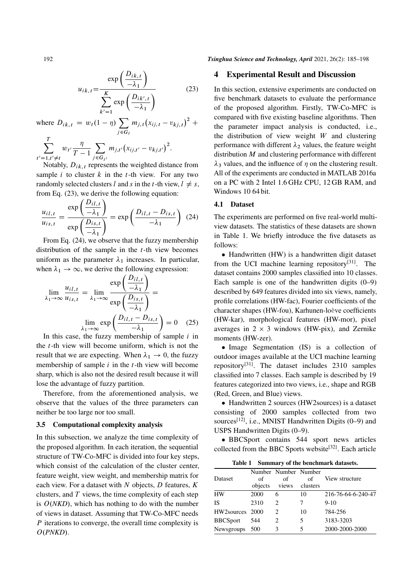$$
u_{ik,t} = \frac{\exp\left(\frac{D_{ik,t}}{-\lambda_1}\right)}{\sum_{k'=1}^{K} \exp\left(\frac{D_{ik',t}}{-\lambda_1}\right)}
$$
(23)

where  $D_{ik,t} = w_t(1 - \eta) \sum_{k}$  $j \in G_t$  $m_{j,t}(x_{ij,t}-v_{kj,t})^2 +$  $\sum$ T  $w_{t'}$   $\frac{\eta}{T}$  $\frac{\eta}{T-1}$  $m_{j,t'}(x_{ij,t'} - v_{kj,t'})^2$ .

 $t'=1, t'\neq t$  $j \in G_{t'}$ Notably,  $D_{ik,t}$  represents the weighted distance from sample i to cluster  $k$  in the t-th view. For any two randomly selected clusters l and s in the t-th view,  $l \neq s$ , from Eq. (23), we derive the following equation:

$$
\frac{u_{i l,t}}{u_{i s,t}} = \frac{\exp\left(\frac{D_{i l,t}}{-\lambda_1}\right)}{\exp\left(\frac{D_{i s,t}}{-\lambda_1}\right)} = \exp\left(\frac{D_{i l,t} - D_{i s,t}}{-\lambda_1}\right) (24)
$$

From Eq. (24), we observe that the fuzzy membership distribution of the sample in the  $t$ -th view becomes uniform as the parameter  $\lambda_1$  increases. In particular, when  $\lambda_1 \rightarrow \infty$ , we derive the following expression:

$$
\lim_{\lambda_1 \to \infty} \frac{u_{i l, t}}{u_{i s, t}} = \lim_{\lambda_1 \to \infty} \frac{\exp\left(\frac{D_{i l, t}}{-\lambda_1}\right)}{\exp\left(\frac{D_{i s, t}}{-\lambda_1}\right)} = \lim_{\lambda_1 \to \infty} \exp\left(\frac{D_{i l, t} - D_{i s, t}}{-\lambda_1}\right) = 0 \quad (25)
$$

In this case, the fuzzy membership of sample  $i$  in the  $t$ -th view will become uniform, which is not the result that we are expecting. When  $\lambda_1 \rightarrow 0$ , the fuzzy membership of sample  $i$  in the  $t$ -th view will become sharp, which is also not the desired result because it will lose the advantage of fuzzy partition.

Therefore, from the aforementioned analysis, we observe that the values of the three parameters can neither be too large nor too small.

#### 3.5 Computational complexity analysis

In this subsection, we analyze the time complexity of the proposed algorithm. In each iteration, the sequential structure of TW-Co-MFC is divided into four key steps, which consist of the calculation of the cluster center, feature weight, view weight, and membership matrix for each view. For a dataset with  $N$  objects,  $D$  features,  $K$ clusters, and  $T$  views, the time complexity of each step is  $O(NKD)$ , which has nothing to do with the number of views in dataset. Assuming that TW-Co-MFC needs  $P$  iterations to converge, the overall time complexity is O.*PNKD*/.

192 *Tsinghua Science and Technology, April* 2021, 26(2): 185–198

#### 4 Experimental Result and Discussion

In this section, extensive experiments are conducted on five benchmark datasets to evaluate the performance of the proposed algorithm. Firstly, TW-Co-MFC is compared with five existing baseline algorithms. Then the parameter impact analysis is conducted, i.e., the distribution of view weight  $W$  and clustering performance with different  $\lambda_2$  values, the feature weight distribution  $M$  and clustering performance with different  $\lambda_3$  values, and the influence of  $\eta$  on the clustering result. All of the experiments are conducted in MATLAB 2016a on a PC with 2 Intel 1.6 GHz CPU, 12 GB RAM, and Windows 10 64 bit.

#### 4.1 Dataset

The experiments are performed on five real-world multiview datasets. The statistics of these datasets are shown in Table 1. We briefly introduce the five datasets as follows:

• Handwritten (HW) is a handwritten digit dataset from the UCI machine learning repository<sup>[31]</sup>. The dataset contains 2000 samples classified into 10 classes. Each sample is one of the handwritten digits  $(0-9)$ described by 649 features divided into six views, namely, profile correlations (HW-fac), Fourier coefficients of the character shapes (HW-fou), Karhunen-loève coefficients (HW-kar), morphological features (HW-mor), pixel averages in  $2 \times 3$  windows (HW-pix), and Zernike moments (HW-zer).

• Image Segmentation (IS) is a collection of outdoor images available at the UCI machine learning repository[31]. The dataset includes 2310 samples classified into 7 classes. Each sample is described by 19 features categorized into two views, i.e., shape and RGB (Red, Green, and Blue) views.

• Handwritten 2 sources (HW2sources) is a dataset consisting of 2000 samples collected from two sources<sup>[12]</sup>, i.e., MNIST Handwritten Digits (0-9) and USPS Handwritten Digits (0–9).

 BBCSport contains 544 sport news articles collected from the BBC Sports website<sup>[32]</sup>. Each article

Table 1 Summary of the benchmark datasets.

| Dataset         | of<br>objects | Number Number Number<br>Ωf<br>views | of<br>clusters | View structure     |
|-----------------|---------------|-------------------------------------|----------------|--------------------|
| HW              | 2000          | 6                                   | 10             | 216-76-64-6-240-47 |
| IS              | 2310          | 2                                   |                | $9-10$             |
| HW2sources 2000 |               | 2                                   | 10             | 784-256            |
| <b>BBCSport</b> | 544           | 2                                   | 5              | 3183-3203          |
| Newsgroups 500  |               | 3                                   | 5              | 2000-2000-2000     |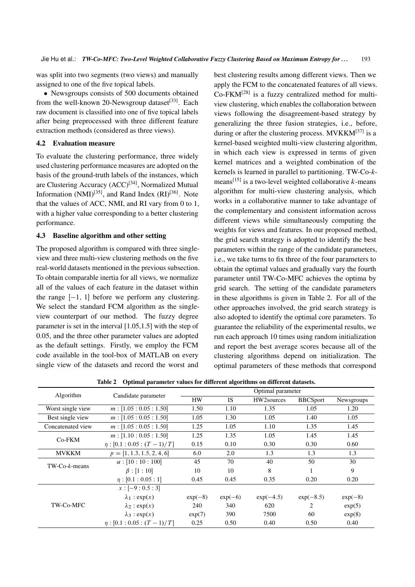was split into two segments (two views) and manually assigned to one of the five topical labels.

 Newsgroups consists of 500 documents obtained from the well-known 20-Newsgroup dataset<sup>[33]</sup>. Each raw document is classified into one of five topical labels after being preprocessed with three different feature extraction methods (considered as three views).

#### 4.2 Evaluation measure

To evaluate the clustering performance, three widely used clustering performance measures are adopted on the basis of the ground-truth labels of the instances, which are Clustering Accuracy (ACC)<sup>[34]</sup>, Normalized Mutual Information  $(NMI)^{[35]}$ , and Rand Index  $(RI)^{[36]}$ . Note that the values of ACC, NMI, and RI vary from 0 to 1, with a higher value corresponding to a better clustering performance.

#### 4.3 Baseline algorithm and other setting

The proposed algorithm is compared with three singleview and three multi-view clustering methods on the five real-world datasets mentioned in the previous subsection. To obtain comparable inertia for all views, we normalize all of the values of each feature in the dataset within the range  $[-1, 1]$  before we perform any clustering. We select the standard FCM algorithm as the singleview counterpart of our method. The fuzzy degree parameter is set in the interval [1.05,1.5] with the step of 0.05, and the three other parameter values are adopted as the default settings. Firstly, we employ the FCM code available in the tool-box of MATLAB on every single view of the datasets and record the worst and

best clustering results among different views. Then we apply the FCM to the concatenated features of all views.  $Co$ -FKM<sup>[28]</sup> is a fuzzy centralized method for multiview clustering, which enables the collaboration between views following the disagreement-based strategy by generalizing the three fusion strategies, i.e., before, during or after the clustering process.  $MVKKM^{[37]}$  is a kernel-based weighted multi-view clustering algorithm, in which each view is expressed in terms of given kernel matrices and a weighted combination of the kernels is learned in parallel to partitioning. TW-Co-*k*means<sup>[15]</sup> is a two-level weighted collaborative  $k$ -means algorithm for multi-view clustering analysis, which works in a collaborative manner to take advantage of the complementary and consistent information across different views while simultaneously computing the weights for views and features. In our proposed method, the grid search strategy is adopted to identify the best parameters within the range of the candidate parameters, i.e., we take turns to fix three of the four parameters to obtain the optimal values and gradually vary the fourth parameter until TW-Co-MFC achieves the optima by grid search. The setting of the candidate parameters in these algorithms is given in Table 2. For all of the other approaches involved, the grid search strategy is also adopted to identify the optimal core parameters. To guarantee the reliability of the experimental results, we run each approach 10 times using random initialization and report the best average scores because all of the clustering algorithms depend on initialization. The optimal parameters of these methods that correspond

Table 2 Optimal parameter values for different algorithms on different datasets.

|                      |                              | Optimal parameter |           |             |                 |            |
|----------------------|------------------------------|-------------------|-----------|-------------|-----------------|------------|
| Algorithm            | Candidate parameter          | <b>HW</b>         | <b>IS</b> | HW2sources  | <b>BBCSport</b> | Newsgroups |
| Worst single view    | m: [1.05:0.05:1.50]          | 1.50              | 1.10      | 1.35        | 1.05            | 1.20       |
| Best single view     | m: [1.05:0.05:1.50]          | 1.05              | 1.30      | 1.05        | 1.40            | 1.05       |
| Concatenated view    | m: [1.05:0.05:1.50]          | 1.25              | 1.05      | 1.10        | 1.35            | 1.45       |
| $Co$ - $FKM$         | m: [1.10:0.05:1.50]          | 1.25              | 1.35      | 1.05        | 1.45            | 1.45       |
|                      | $\eta: [0.1:0.05:(T-1)/T]$   | 0.15              | 0.10      | 0.30        | 0.30            | 0.60       |
| <b>MVKKM</b>         | $p = [1, 1.3, 1.5, 2, 4, 6]$ | 6.0               | 2.0       | 1.3         | 1.3             | 1.3        |
| $TW$ - $Co-k$ -means | $\alpha$ : [10 : 10 : 100]   | 45                | 70        | 40          | 50              | 30         |
|                      | $\beta$ : [1 : 10]           | 10                | 10        | 8           |                 | 9          |
|                      | $\eta : [0.1 : 0.05 : 1]$    | 0.45              | 0.45      | 0.35        | 0.20            | 0.20       |
|                      | $x: [-9:0.5:3]$              |                   |           |             |                 |            |
|                      | $\lambda_1$ : exp(x)         | $exp(-8)$         | $exp(-6)$ | $exp(-4.5)$ | $exp(-8.5)$     | $exp(-8)$  |
| TW-Co-MFC            | $\lambda_2$ : exp(x)         | 240               | 340       | 620         | 2               | exp(5)     |
|                      | $\lambda_3$ : exp(x)         | exp(7)            | 390       | 7500        | 60              | exp(8)     |
|                      | $\eta: [0.1:0.05:(T-1)/T]$   | 0.25              | 0.50      | 0.40        | 0.50            | 0.40       |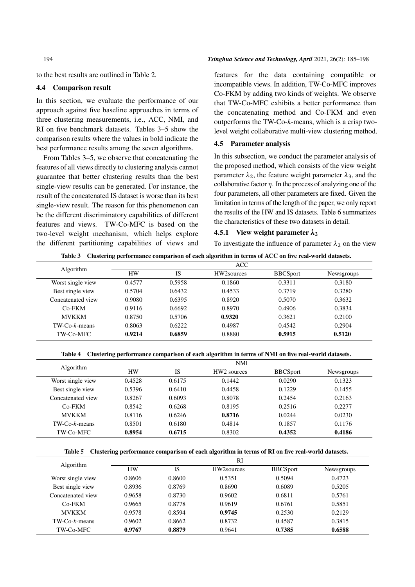to the best results are outlined in Table 2.

#### 4.4 Comparison result

In this section, we evaluate the performance of our approach against five baseline approaches in terms of three clustering measurements, i.e., ACC, NMI, and RI on five benchmark datasets. Tables 3–5 show the comparison results where the values in bold indicate the best performance results among the seven algorithms.

From Tables 3–5, we observe that concatenating the features of all views directly to clustering analysis cannot guarantee that better clustering results than the best single-view results can be generated. For instance, the result of the concatenated IS dataset is worse than its best single-view result. The reason for this phenomenon can be the different discriminatory capabilities of different features and views. TW-Co-MFC is based on the two-level weight mechanism, which helps explore the different partitioning capabilities of views and

#### 194 *Tsinghua Science and Technology, April* 2021, 26(2): 185–198

features for the data containing compatible or incompatible views. In addition, TW-Co-MFC improves Co-FKM by adding two kinds of weights. We observe that TW-Co-MFC exhibits a better performance than the concatenating method and Co-FKM and even outperforms the TW-Co-*k*-means, which is a crisp twolevel weight collaborative multi-view clustering method.

#### 4.5 Parameter analysis

In this subsection, we conduct the parameter analysis of the proposed method, which consists of the view weight parameter  $\lambda_2$ , the feature weight parameter  $\lambda_3$ , and the collaborative factor  $\eta$ . In the process of analyzing one of the four parameters, all other parameters are fixed. Given the limitation in terms of the length of the paper, we only report the results of the HW and IS datasets. Table 6 summarizes the characteristics of these two datasets in detail.

#### 4.5.1 View weight parameter  $\lambda_2$

To investigate the influence of parameter  $\lambda_2$  on the view

|  | Table 3 Clustering performance comparison of each algorithm in terms of ACC on five real-world datasets. |  |  |  |  |
|--|----------------------------------------------------------------------------------------------------------|--|--|--|--|
|--|----------------------------------------------------------------------------------------------------------|--|--|--|--|

| <b>Algorithm</b>     |           |        | <b>ACC</b> |                 |            |
|----------------------|-----------|--------|------------|-----------------|------------|
|                      | <b>HW</b> | IS     | HW2sources | <b>BBCSport</b> | Newsgroups |
| Worst single view    | 0.4577    | 0.5958 | 0.1860     | 0.3311          | 0.3180     |
| Best single view     | 0.5704    | 0.6432 | 0.4533     | 0.3719          | 0.3280     |
| Concatenated view    | 0.9080    | 0.6395 | 0.8920     | 0.5070          | 0.3632     |
| $Co-FKM$             | 0.9116    | 0.6692 | 0.8970     | 0.4906          | 0.3834     |
| <b>MVKKM</b>         | 0.8750    | 0.5706 | 0.9320     | 0.3621          | 0.2100     |
| $TW$ -Co- $k$ -means | 0.8063    | 0.6222 | 0.4987     | 0.4542          | 0.2904     |
| TW-Co-MFC            | 0.9214    | 0.6859 | 0.8880     | 0.5915          | 0.5120     |

Table 4 Clustering performance comparison of each algorithm in terms of NMI on five real-world datasets.

| Algorithm            |           |           | <b>NMI</b>              |                 |            |
|----------------------|-----------|-----------|-------------------------|-----------------|------------|
|                      | <b>HW</b> | <b>IS</b> | HW <sub>2</sub> sources | <b>BBCSport</b> | Newsgroups |
| Worst single view    | 0.4528    | 0.6175    | 0.1442                  | 0.0290          | 0.1323     |
| Best single view     | 0.5396    | 0.6410    | 0.4458                  | 0.1229          | 0.1455     |
| Concatenated view    | 0.8267    | 0.6093    | 0.8078                  | 0.2454          | 0.2163     |
| $Co-FKM$             | 0.8542    | 0.6268    | 0.8195                  | 0.2516          | 0.2277     |
| <b>MVKKM</b>         | 0.8116    | 0.6246    | 0.8716                  | 0.0244          | 0.0230     |
| $TW$ -Co- $k$ -means | 0.8501    | 0.6180    | 0.4814                  | 0.1857          | 0.1176     |
| TW-Co-MFC            | 0.8954    | 0.6715    | 0.8302                  | 0.4352          | 0.4186     |

Table 5 Clustering performance comparison of each algorithm in terms of RI on five real-world datasets.

| Algorithm            |           |        | RI         |                 |            |
|----------------------|-----------|--------|------------|-----------------|------------|
|                      | <b>HW</b> | IS     | HW2sources | <b>BBCSport</b> | Newsgroups |
| Worst single view    | 0.8606    | 0.8600 | 0.5351     | 0.5094          | 0.4723     |
| Best single view     | 0.8936    | 0.8769 | 0.8690     | 0.6089          | 0.5205     |
| Concatenated view    | 0.9658    | 0.8730 | 0.9602     | 0.6811          | 0.5761     |
| $Co-FKM$             | 0.9665    | 0.8778 | 0.9619     | 0.6761          | 0.5851     |
| <b>MVKKM</b>         | 0.9578    | 0.8594 | 0.9745     | 0.2530          | 0.2129     |
| $TW$ -Co- $k$ -means | 0.9602    | 0.8662 | 0.8732     | 0.4587          | 0.3815     |
| TW-Co-MFC            | 0.9767    | 0.8879 | 0.9641     | 0.7385          | 0.6588     |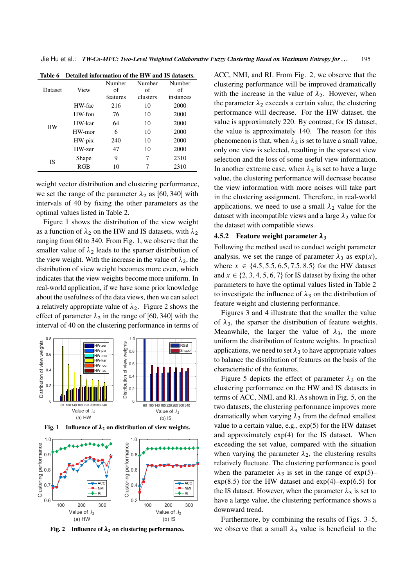| <b>Dataset</b> | View   | Number<br>of<br>features | Number<br>of<br>clusters | Number<br>of<br>instances |
|----------------|--------|--------------------------|--------------------------|---------------------------|
|                | HW-fac | 216                      | 10                       | 2000                      |
|                | HW-fou | 76                       | 10                       | 2000                      |
| <b>HW</b>      | HW-kar | 64                       | 10                       | 2000                      |
|                | HW-mor | 6                        | 10                       | 2000                      |
|                | HW-pix | 240                      | 10                       | 2000                      |
|                | HW-zer | 47                       | 10                       | 2000                      |
| IS             | Shape  | 9                        | 7                        | 2310                      |
|                | RGB    | 10                       |                          | 2310                      |

Table 6 Detailed information of the HW and IS datasets.

weight vector distribution and clustering performance, we set the range of the parameter  $\lambda_2$  as [60, 340] with intervals of 40 by fixing the other parameters as the optimal values listed in Table 2.

Figure 1 shows the distribution of the view weight as a function of  $\lambda_2$  on the HW and IS datasets, with  $\lambda_2$ ranging from 60 to 340. From Fig. 1, we observe that the smaller value of  $\lambda_2$  leads to the sparser distribution of the view weight. With the increase in the value of  $\lambda_2$ , the distribution of view weight becomes more even, which indicates that the view weights become more uniform. In real-world application, if we have some prior knowledge about the usefulness of the data views, then we can select a relatively appropriate value of  $\lambda_2$ . Figure 2 shows the effect of parameter  $\lambda_2$  in the range of [60, 340] with the interval of 40 on the clustering performance in terms of







Fig. 2 Influence of  $\lambda_2$  on clustering performance.

ACC, NMI, and RI. From Fig. 2, we observe that the clustering performance will be improved dramatically with the increase in the value of  $\lambda_2$ . However, when the parameter  $\lambda_2$  exceeds a certain value, the clustering performance will decrease. For the HW dataset, the value is approximately 220. By contrast, for IS dataset, the value is approximately 140. The reason for this phenomenon is that, when  $\lambda_2$  is set to have a small value, only one view is selected, resulting in the sparsest view selection and the loss of some useful view information. In another extreme case, when  $\lambda_2$  is set to have a large value, the clustering performance will decrease because the view information with more noises will take part in the clustering assignment. Therefore, in real-world applications, we need to use a small  $\lambda_2$  value for the dataset with incompatible views and a large  $\lambda_2$  value for the dataset with compatible views.

#### 4.5.2 Feature weight parameter  $\lambda_3$

Following the method used to conduct weight parameter analysis, we set the range of parameter  $\lambda_3$  as exp $(x)$ , where  $x \in \{4.5, 5.5, 6.5, 7.5, 8.5\}$  for the HW dataset and  $x \in \{2, 3, 4, 5, 6, 7\}$  for IS dataset by fixing the other parameters to have the optimal values listed in Table 2 to investigate the influence of  $\lambda_3$  on the distribution of feature weight and clustering performance.

Figures 3 and 4 illustrate that the smaller the value of  $\lambda_3$ , the sparser the distribution of feature weights. Meanwhile, the larger the value of  $\lambda_3$ , the more uniform the distribution of feature weights. In practical applications, we need to set  $\lambda_3$  to have appropriate values to balance the distribution of features on the basis of the characteristic of the features.

Figure 5 depicts the effect of parameter  $\lambda_3$  on the clustering performance on the HW and IS datasets in terms of ACC, NMI, and RI. As shown in Fig. 5, on the two datasets, the clustering performance improves more dramatically when varying  $\lambda_3$  from the defined smallest value to a certain value, e.g., exp(5) for the HW dataset and approximately exp(4) for the IS dataset. When exceeding the set value, compared with the situation when varying the parameter  $\lambda_2$ , the clustering results relatively fluctuate. The clustering performance is good when the parameter  $\lambda_3$  is set in the range of exp. (5)–  $exp(8.5)$  for the HW dataset and  $exp(4)$ – $exp(6.5)$  for the IS dataset. However, when the parameter  $\lambda_3$  is set to have a large value, the clustering performance shows a downward trend.

Furthermore, by combining the results of Figs. 3–5, we observe that a small  $\lambda_3$  value is beneficial to the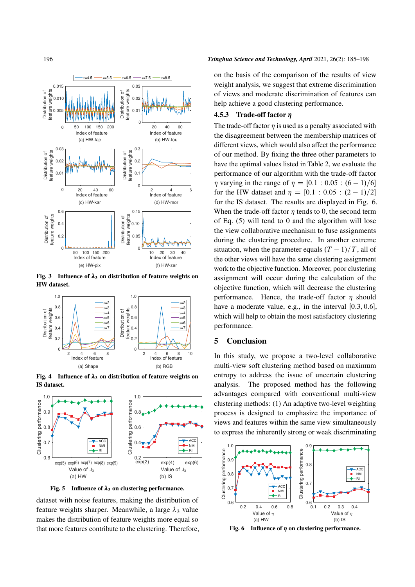

Fig. 3 Influence of  $\lambda_3$  on distribution of feature weights on HW dataset.



Fig. 4 Influence of  $\lambda_3$  on distribution of feature weights on IS dataset.



Fig. 5 Influence of  $\lambda_3$  on clustering performance.

dataset with noise features, making the distribution of feature weights sharper. Meanwhile, a large  $\lambda_3$  value makes the distribution of feature weights more equal so that more features contribute to the clustering. Therefore,

#### 196 *Tsinghua Science and Technology, April* 2021, 26(2): 185–198

on the basis of the comparison of the results of view weight analysis, we suggest that extreme discrimination of views and moderate discrimination of features can help achieve a good clustering performance.

#### 4.5.3 Trade-off factor

The trade-off factor  $\eta$  is used as a penalty associated with the disagreement between the membership matrices of different views, which would also affect the performance of our method. By fixing the three other parameters to have the optimal values listed in Table 2, we evaluate the performance of our algorithm with the trade-off factor  $\eta$  varying in the range of  $\eta = [0.1 : 0.05 : (6 - 1)/6]$ for the HW dataset and  $\eta = [0.1 : 0.05 : (2 - 1)/2]$ for the IS dataset. The results are displayed in Fig. 6. When the trade-off factor  $\eta$  tends to 0, the second term of Eq. (5) will tend to 0 and the algorithm will lose the view collaborative mechanism to fuse assignments during the clustering procedure. In another extreme situation, when the parameter equals  $(T - 1)/T$ , all of the other views will have the same clustering assignment work to the objective function. Moreover, poor clustering assignment will occur during the calculation of the objective function, which will decrease the clustering performance. Hence, the trade-off factor  $\eta$  should have a moderate value, e.g., in the interval  $[0.3, 0.6]$ , which will help to obtain the most satisfactory clustering performance.

#### 5 Conclusion

In this study, we propose a two-level collaborative multi-view soft clustering method based on maximum entropy to address the issue of uncertain clustering analysis. The proposed method has the following advantages compared with conventional multi-view clustering methods: (1) An adaptive two-level weighting process is designed to emphasize the importance of views and features within the same view simultaneously to express the inherently strong or weak discriminating



Fig. 6 Influence of  $\eta$  on clustering performance.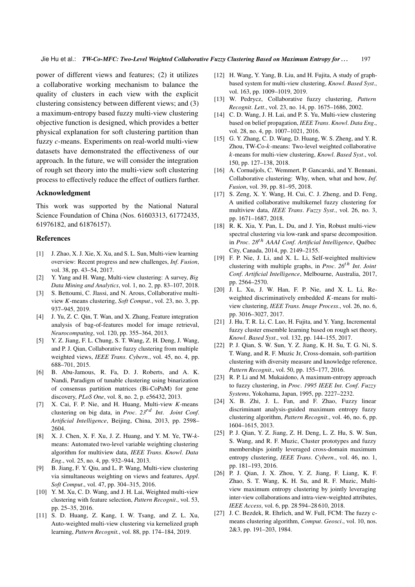Jie Hu et al.: *TW-Co-MFC: Two-Level Weighted Collaborative Fuzzy Clustering Based on Maximum Entropy for . . .* 197

power of different views and features; (2) it utilizes a collaborative working mechanism to balance the quality of clusters in each view with the explicit clustering consistency between different views; and (3) a maximum-entropy based fuzzy multi-view clustering objective function is designed, which provides a better physical explanation for soft clustering partition than fuzzy *c*-means. Experiments on real-world multi-view datasets have demonstrated the effectiveness of our approach. In the future, we will consider the integration of rough set theory into the multi-view soft clustering process to effectively reduce the effect of outliers further.

#### Acknowledgment

This work was supported by the National Natural Science Foundation of China (Nos. 61603313, 61772435, 61976182, and 61876157).

#### References

- [1] J. Zhao, X. J. Xie, X. Xu, and S. L. Sun, Multi-view learning overview: Recent progress and new challenges, *Inf*. *Fusion*, vol. 38, pp. 43–54, 2017.
- [2] Y. Yang and H. Wang, Multi-view clustering: A survey, *Big Data Mining and Analytics*, vol. 1, no. 2, pp. 83–107, 2018.
- [3] S. Bettoumi, C. Jlassi, and N. Arous, Collaborative multiview *K*-means clustering, *Soft Comput*., vol. 23, no. 3, pp. 937–945, 2019.
- [4] J. Yu, Z. C. Qin, T. Wan, and X. Zhang, Feature integration analysis of bag-of-features model for image retrieval, *Neurocomputing*, vol. 120, pp. 355–364, 2013.
- [5] Y. Z. Jiang, F. L. Chung, S. T. Wang, Z. H. Deng, J. Wang, and P. J. Qian, Collaborative fuzzy clustering from multiple weighted views, *IEEE Trans*. *Cybern*., vol. 45, no. 4, pp. 688–701, 2015.
- [6] B. Abu-Jamous, R. Fa, D. J. Roberts, and A. K. Nandi, Paradigm of tunable clustering using binarization of consensus partition matrices (Bi-CoPaM) for gene discovery, *PLoS One*, vol. 8, no. 2, p. e56432, 2013.
- [7] X. Cai, F. P. Nie, and H. Huang, Multi-view *K*-means clustering on big data, in *Proc*. *23*rd *Int*. *Joint Conf*. *Artificial Intelligence*, Beijing, China, 2013, pp. 2598– 2604.
- [8] X. J. Chen, X. F. Xu, J. Z. Huang, and Y. M. Ye, TW-*k*means: Automated two-level variable weighting clustering algorithm for multiview data, *IEEE Trans*. *Knowl*. *Data Eng*., vol. 25, no. 4, pp. 932–944, 2013.
- [9] B. Jiang, F. Y. Qiu, and L. P. Wang, Multi-view clustering via simultaneous weighting on views and features, *Appl*. *Soft Comput*., vol. 47, pp. 304–315, 2016.
- [10] Y. M. Xu, C. D. Wang, and J. H. Lai, Weighted multi-view clustering with feature selection, *Pattern Recognit*., vol. 53, pp. 25–35, 2016.
- [11] S. D. Huang, Z. Kang, I. W. Tsang, and Z. L. Xu, Auto-weighted multi-view clustering via kernelized graph learning, *Pattern Recognit.*, vol. 88, pp. 174–184, 2019.
- [12] H. Wang, Y. Yang, B. Liu, and H. Fujita, A study of graphbased system for multi-view clustering, *Knowl*. *Based Syst*., vol. 163, pp. 1009-1019, 2019.
- [13] W. Pedrycz, Collaborative fuzzy clustering, *Pattern Recognit*. *Lett*., vol. 23, no. 14, pp. 1675–1686, 2002.
- [14] C. D. Wang, J. H. Lai, and P. S. Yu, Multi-view clustering based on belief propagation, *IEEE Trans*. *Knowl*. *Data Eng*., vol. 28, no. 4, pp. 1007–1021, 2016.
- [15] G. Y. Zhang, C. D. Wang, D. Huang, W. S. Zheng, and Y. R. Zhou, TW-Co-k-means: Two-level weighted collaborative k-means for multi-view clustering, *Knowl*. *Based Syst*., vol. 150, pp. 127–138, 2018.
- [16] A. Cornuéjols, C. Wemmert, P. Gancarski, and Y. Bennani, Collaborative clustering: Why, when, what and how, *Inf*. *Fusion*, vol. 39, pp. 81–95, 2018.
- [17] S. Zeng, X. Y. Wang, H. Cui, C. J. Zheng, and D. Feng, A unified collaborative multikernel fuzzy clustering for multiview data, *IEEE Trans*. *Fuzzy Syst*., vol. 26, no. 3, pp. 1671–1687, 2018.
- [18] R. K. Xia, Y. Pan, L. Du, and J. Yin, Robust multi-view spectral clustering via low-rank and sparse decomposition. in *Proc*. *28*th *AAAI Conf*. *Artificial Intelligence*, Quebec ´ City, Canada, 2014, pp. 2149–2155.
- [19] F. P. Nie, J. Li, and X. L. Li, Self-weighted multiview clustering with multiple graphs, in *Proc*. *26*th *Int*. *Joint Conf*. *Artificial Intelligence*, Melbourne, Australia, 2017, pp. 2564–2570.
- [20] J. L. Xu, J. W. Han, F. P. Nie, and X. L. Li, Reweighted discriminatively embedded K-means for multiview clustering, *IEEE Trans*. *Image Process*., vol. 26, no. 6, pp. 3016–3027, 2017.
- [21] J. Hu, T. R. Li, C. Luo, H. Fujita, and Y. Yang, Incremental fuzzy cluster ensemble learning based on rough set theory, *Knowl*. *Based Syst*., vol. 132, pp. 144–155, 2017.
- [22] P. J. Qian, S. W. Sun, Y. Z. Jiang, K. H. Su, T. G. Ni, S. T. Wang, and R. F. Muzic Jr, Cross-domain, soft-partition clustering with diversity measure and knowledge reference, *Pattern Recognit*., vol. 50, pp. 155–177, 2016.
- [23] R. P. Li and M. Mukaidono, A maximum-entropy approach to fuzzy clustering, in *Proc*. *1995 IEEE Int*. *Conf*. *Fuzzy Systems*, Yokohama, Japan, 1995, pp. 2227–2232.
- [24] X. B. Zhi, J. L. Fan, and F. Zhao, Fuzzy linear discriminant analysis-guided maximum entropy fuzzy clustering algorithm, *Pattern Recognit*., vol. 46, no. 6, pp. 1604–1615, 2013.
- [25] P. J. Qian, Y. Z. Jiang, Z. H. Deng, L. Z. Hu, S. W. Sun, S. Wang, and R. F. Muzic, Cluster prototypes and fuzzy memberships jointly leveraged cross-domain maximum entropy clustering, *IEEE Trans*. *Cybern*., vol. 46, no. 1, pp. 181–193, 2016.
- [26] P. J. Qian, J. X. Zhou, Y. Z. Jiang, F. Liang, K. F. Zhao, S. T. Wang, K. H. Su, and R. F. Muzic, Multiview maximum entropy clustering by jointly leveraging inter-view collaborations and intra-view-weighted attributes, *IEEE Access*, vol. 6, pp. 28 594–28 610, 2018.
- [27] J. C. Bezdek, R. Ehrlich, and W. Full, FCM: The fuzzy cmeans clustering algorithm, *Comput*. *Geosci*., vol. 10, nos. 2&3, pp. 191–203, 1984.